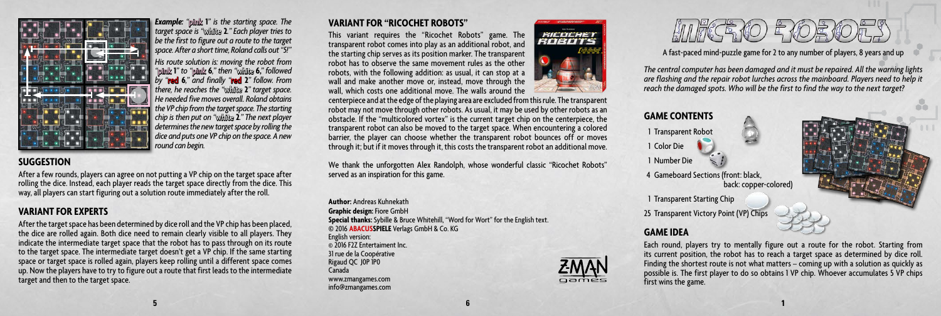

*Example: "*pink **1***" is the starting space. The target space is "*white **2***." Each player tries to be the first to figure out a route to the target space. After a short time, Roland calls out "5!"*

*His route solution is: moving the robot from "*pink **1***" to "*pink **6***," then "*white **6,***" followed by "*red **6***," and finally "*red **2***" follow. From there, he reaches the "*white **2***" target space. He needed five moves overall. Roland obtains the VP chip from the target space. The starting chip is then put on "*white **2***." The next player determines the new target space by rolling the dice and puts one VP chip on the space. A new round can begin.*

### **SUGGESTION**

After a few rounds, players can agree on not putting a VP chip on the target space after rolling the dice. Instead, each player reads the target space directly from the dice. This way, all players can start figuring out a solution route immediately after the roll.

## **VARIANT FOR EXPERTS**

After the target space has been determined by dice roll and the VP chip has been placed, the dice are rolled again. Both dice need to remain clearly visible to all players. They indicate the intermediate target space that the robot has to pass through on its route to the target space. The intermediate target doesn't get a VP chip. If the same starting space or target space is rolled again, players keep rolling until a different space comes up. Now the players have to try to figure out a route that first leads to the intermediate target and then to the target space.

#### **VARIANT FOR "RICOCHET ROBOTS"**

This variant requires the "Ricochet Robots" game. The transparent robot comes into play as an additional robot, and the starting chip serves as its position marker. The transparent robot has to observe the same movement rules as the other robots, with the following addition: as usual, it can stop at a wall and make another move or, instead, move through the wall, which costs one additional move. The walls around the



centerpiece and at the edge of the playing area are excluded from this rule. The transparent robot may not move through other robots. As usual, it may be used by other robots as an obstacle. If the "multicolored vortex" is the current target chip on the centerpiece, the transparent robot can also be moved to the target space. When encountering a colored barrier, the player can choose whether the transparent robot bounces off or moves through it; but if it moves through it, this costs the transparent robot an additional move.

We thank the unforgotten Alex Randolph, whose wonderful classic "Ricochet Robots" served as an inspiration for this game.

**Author:** Andreas Kuhnekath **Graphic design:** Fiore GmbH **Special thanks:** Sybille & Bruce Whitehill, "Word for Wort" for the English text. © 2016 **ABACUSSPIELE** Verlags GmbH & Co. KG English version: © 2016 F2Z Entertaiment Inc. 31 rue de la Coopérative Rigaud QC J0P 1P0 Canada www.zmangames.com info@zmangames.com





4 Gameboard Sections (front: black, back: copper-colored)

1 Transparent Starting Chip

25 Transparent Victory Point (VP) Chips

## **GAME IDEA**

Each round, players try to mentally figure out a route for the robot. Starting from its current position, the robot has to reach a target space as determined by dice roll. Finding the shortest route is not what matters – coming up with a solution as quickly as possible is. The first player to do so obtains 1 VP chip. Whoever accumulates 5 VP chips first wins the game.

A fast-paced mind-puzzle game for 2 to any number of players, 8 years and up *The central computer has been damaged and it must be repaired. All the warning lights are flashing and the repair robot lurches across the mainboard. Players need to help it reach the damaged spots. Who will be the first to find the way to the next target?*

HUFCE YO F YOE YOU,

**5 6 1**